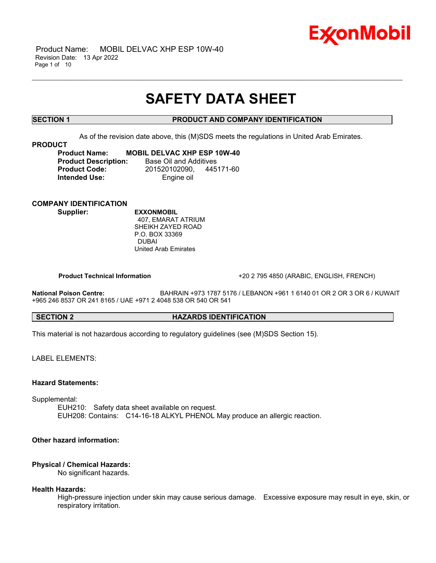

## **SAFETY DATA SHEET**

\_\_\_\_\_\_\_\_\_\_\_\_\_\_\_\_\_\_\_\_\_\_\_\_\_\_\_\_\_\_\_\_\_\_\_\_\_\_\_\_\_\_\_\_\_\_\_\_\_\_\_\_\_\_\_\_\_\_\_\_\_\_\_\_\_\_\_\_\_\_\_\_\_\_\_\_\_\_\_\_\_\_\_\_\_\_\_\_\_\_\_\_\_\_\_\_\_\_\_\_\_\_\_\_\_\_\_\_\_\_\_\_\_\_\_\_\_

### **SECTION 1 PRODUCT AND COMPANY IDENTIFICATION**

As of the revision date above, this (M)SDS meets the regulations in United Arab Emirates.

#### **PRODUCT**

**Product Name: MOBIL DELVAC XHP ESP 10W-40 Product Description:** Base Oil and Additives **Product Code:** 201520102090, 445171-60 **Intended Use:** Engine oil

### **COMPANY IDENTIFICATION**

**Supplier: EXXONMOBIL** 407, EMARAT ATRIUM SHEIKH ZAYED ROAD P.O. BOX 33369 DUBAI United Arab Emirates

**Product Technical Information** +20 2 795 4850 (ARABIC, ENGLISH, FRENCH)

**National Poison Centre:** BAHRAIN +973 1787 5176 / LEBANON +961 1 6140 01 OR 2 OR 3 OR 6 / KUWAIT +965 246 8537 OR 241 8165 / UAE +971 2 4048 538 OR 540 OR 541

#### **SECTION 2 HAZARDS IDENTIFICATION**

This material is not hazardous according to regulatory guidelines (see (M)SDS Section 15).

LABEL ELEMENTS:

#### **Hazard Statements:**

Supplemental:

EUH210: Safety data sheet available on request. EUH208: Contains: C14-16-18 ALKYL PHENOL May produce an allergic reaction.

### **Other hazard information:**

#### **Physical / Chemical Hazards:**

No significant hazards.

#### **Health Hazards:**

High-pressure injection under skin may cause serious damage. Excessive exposure may result in eye, skin, or respiratory irritation.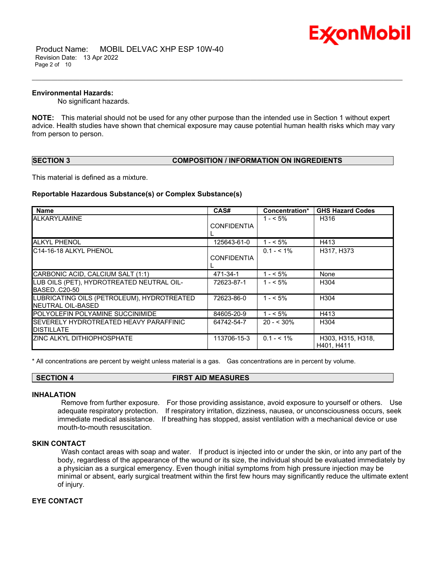

#### **Environmental Hazards:**

No significant hazards.

**NOTE:** This material should not be used for any other purpose than the intended use in Section 1 without expert advice. Health studies have shown that chemical exposure may cause potential human health risks which may vary from person to person.

\_\_\_\_\_\_\_\_\_\_\_\_\_\_\_\_\_\_\_\_\_\_\_\_\_\_\_\_\_\_\_\_\_\_\_\_\_\_\_\_\_\_\_\_\_\_\_\_\_\_\_\_\_\_\_\_\_\_\_\_\_\_\_\_\_\_\_\_\_\_\_\_\_\_\_\_\_\_\_\_\_\_\_\_\_\_\_\_\_\_\_\_\_\_\_\_\_\_\_\_\_\_\_\_\_\_\_\_\_\_\_\_\_\_\_\_\_

#### **SECTION 3 COMPOSITION / INFORMATION ON INGREDIENTS**

This material is defined as a mixture.

#### **Reportable Hazardous Substance(s) or Complex Substance(s)**

| <b>Name</b>                                | CAS#               | Concentration* | <b>GHS Hazard Codes</b> |
|--------------------------------------------|--------------------|----------------|-------------------------|
| ALKARYLAMINE                               |                    | $1 - 5\%$      | H316                    |
|                                            | <b>CONFIDENTIA</b> |                |                         |
|                                            |                    |                |                         |
| <b>ALKYL PHENOL</b>                        | 125643-61-0        | $1 - 5\%$      | H413                    |
| C14-16-18 ALKYL PHENOL                     |                    | $0.1 - 5.1\%$  | H317, H373              |
|                                            | <b>CONFIDENTIA</b> |                |                         |
|                                            |                    |                |                         |
| CARBONIC ACID, CALCIUM SALT (1:1)          | 471-34-1           | $1 - 5\%$      | None                    |
| LUB OILS (PET), HYDROTREATED NEUTRAL OIL-  | 72623-87-1         | $1 - 5\%$      | H304                    |
| BASEDC20-50                                |                    |                |                         |
| LUBRICATING OILS (PETROLEUM), HYDROTREATED | 72623-86-0         | $1 - 5\%$      | H304                    |
| NEUTRAL OIL-BASED                          |                    |                |                         |
| POLYOLEFIN POLYAMINE SUCCINIMIDE           | 84605-20-9         | $1 - 5\%$      | H413                    |
| SEVERELY HYDROTREATED HEAVY PARAFFINIC     | 64742-54-7         | $20 - 530\%$   | H <sub>304</sub>        |
| <b>DISTILLATE</b>                          |                    |                |                         |
| <b>ZINC ALKYL DITHIOPHOSPHATE</b>          | 113706-15-3        | $0.1 - 5.1\%$  | H303, H315, H318,       |
|                                            |                    |                | H401, H411              |

\* All concentrations are percent by weight unless material is a gas. Gas concentrations are in percent by volume.

#### **SECTION 4 FIRST AID MEASURES**

#### **INHALATION**

Remove from further exposure. For those providing assistance, avoid exposure to yourself or others. Use adequate respiratory protection. If respiratory irritation, dizziness, nausea, or unconsciousness occurs, seek immediate medical assistance. If breathing has stopped, assist ventilation with a mechanical device or use mouth-to-mouth resuscitation.

#### **SKIN CONTACT**

Wash contact areas with soap and water. If product is injected into or under the skin, or into any part of the body, regardless of the appearance of the wound or its size, the individual should be evaluated immediately by a physician as a surgical emergency. Even though initial symptoms from high pressure injection may be minimal or absent, early surgical treatment within the first few hours may significantly reduce the ultimate extent of injury.

### **EYE CONTACT**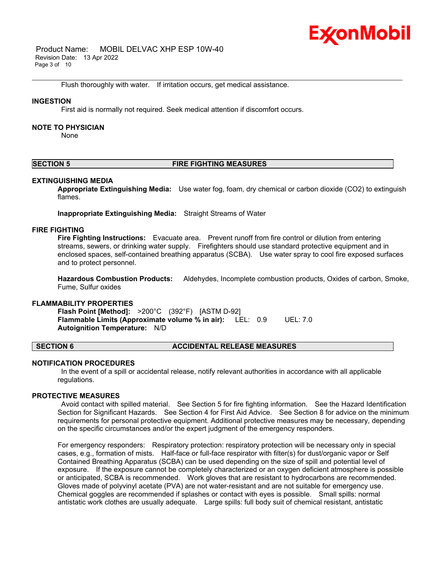## Ex⁄onMobil

 Product Name: MOBIL DELVAC XHP ESP 10W-40 Revision Date: 13 Apr 2022 Page 3 of 10

Flush thoroughly with water. If irritation occurs, get medical assistance.

#### **INGESTION**

First aid is normally not required. Seek medical attention if discomfort occurs.

#### **NOTE TO PHYSICIAN**

None

### **SECTION 5 FIRE FIGHTING MEASURES**

\_\_\_\_\_\_\_\_\_\_\_\_\_\_\_\_\_\_\_\_\_\_\_\_\_\_\_\_\_\_\_\_\_\_\_\_\_\_\_\_\_\_\_\_\_\_\_\_\_\_\_\_\_\_\_\_\_\_\_\_\_\_\_\_\_\_\_\_\_\_\_\_\_\_\_\_\_\_\_\_\_\_\_\_\_\_\_\_\_\_\_\_\_\_\_\_\_\_\_\_\_\_\_\_\_\_\_\_\_\_\_\_\_\_\_\_\_

#### **EXTINGUISHING MEDIA**

**Appropriate Extinguishing Media:** Use water fog, foam, dry chemical or carbon dioxide (CO2) to extinguish flames.

**Inappropriate Extinguishing Media:** Straight Streams of Water

#### **FIRE FIGHTING**

**Fire Fighting Instructions:** Evacuate area. Prevent runoff from fire control or dilution from entering streams, sewers, or drinking water supply. Firefighters should use standard protective equipment and in enclosed spaces, self-contained breathing apparatus (SCBA). Use water spray to cool fire exposed surfaces and to protect personnel.

**Hazardous Combustion Products:** Aldehydes, Incomplete combustion products, Oxides of carbon, Smoke, Fume, Sulfur oxides

### **FLAMMABILITY PROPERTIES**

**Flash Point [Method]:** >200°C (392°F) [ASTM D-92] **Flammable Limits (Approximate volume % in air):** LEL: 0.9 UEL: 7.0 **Autoignition Temperature:** N/D

#### **SECTION 6 ACCIDENTAL RELEASE MEASURES**

#### **NOTIFICATION PROCEDURES**

In the event of a spill or accidental release, notify relevant authorities in accordance with all applicable regulations.

#### **PROTECTIVE MEASURES**

Avoid contact with spilled material. See Section 5 for fire fighting information. See the Hazard Identification Section for Significant Hazards. See Section 4 for First Aid Advice. See Section 8 for advice on the minimum requirements for personal protective equipment. Additional protective measures may be necessary, depending on the specific circumstances and/or the expert judgment of the emergency responders.

For emergency responders: Respiratory protection: respiratory protection will be necessary only in special cases, e.g., formation of mists. Half-face or full-face respirator with filter(s) for dust/organic vapor or Self Contained Breathing Apparatus (SCBA) can be used depending on the size of spill and potential level of exposure. If the exposure cannot be completely characterized or an oxygen deficient atmosphere is possible or anticipated, SCBA is recommended. Work gloves that are resistant to hydrocarbons are recommended. Gloves made of polyvinyl acetate (PVA) are not water-resistant and are not suitable for emergency use. Chemical goggles are recommended if splashes or contact with eyes is possible. Small spills: normal antistatic work clothes are usually adequate. Large spills: full body suit of chemical resistant, antistatic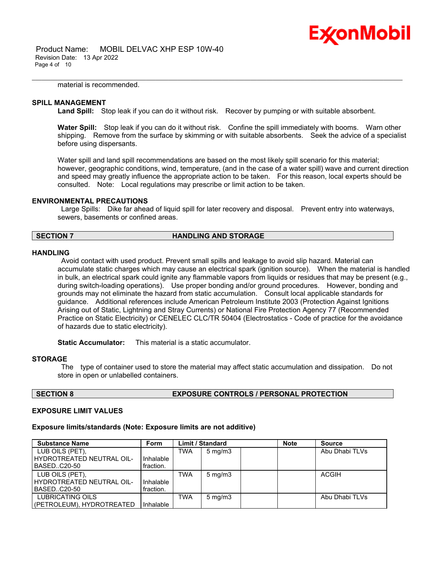

 Product Name: MOBIL DELVAC XHP ESP 10W-40 Revision Date: 13 Apr 2022 Page 4 of 10

material is recommended.

#### **SPILL MANAGEMENT**

**Land Spill:** Stop leak if you can do it without risk. Recover by pumping or with suitable absorbent.

\_\_\_\_\_\_\_\_\_\_\_\_\_\_\_\_\_\_\_\_\_\_\_\_\_\_\_\_\_\_\_\_\_\_\_\_\_\_\_\_\_\_\_\_\_\_\_\_\_\_\_\_\_\_\_\_\_\_\_\_\_\_\_\_\_\_\_\_\_\_\_\_\_\_\_\_\_\_\_\_\_\_\_\_\_\_\_\_\_\_\_\_\_\_\_\_\_\_\_\_\_\_\_\_\_\_\_\_\_\_\_\_\_\_\_\_\_

**Water Spill:** Stop leak if you can do it without risk. Confine the spill immediately with booms. Warn other shipping. Remove from the surface by skimming or with suitable absorbents. Seek the advice of a specialist before using dispersants.

Water spill and land spill recommendations are based on the most likely spill scenario for this material; however, geographic conditions, wind, temperature, (and in the case of a water spill) wave and current direction and speed may greatly influence the appropriate action to be taken. For this reason, local experts should be consulted. Note: Local regulations may prescribe or limit action to be taken.

#### **ENVIRONMENTAL PRECAUTIONS**

Large Spills: Dike far ahead of liquid spill for later recovery and disposal. Prevent entry into waterways, sewers, basements or confined areas.

#### **SECTION 7 HANDLING AND STORAGE**

#### **HANDLING**

Avoid contact with used product. Prevent small spills and leakage to avoid slip hazard. Material can accumulate static charges which may cause an electrical spark (ignition source). When the material is handled in bulk, an electrical spark could ignite any flammable vapors from liquids or residues that may be present (e.g., during switch-loading operations). Use proper bonding and/or ground procedures. However, bonding and grounds may not eliminate the hazard from static accumulation. Consult local applicable standards for guidance. Additional references include American Petroleum Institute 2003 (Protection Against Ignitions Arising out of Static, Lightning and Stray Currents) or National Fire Protection Agency 77 (Recommended Practice on Static Electricity) or CENELEC CLC/TR 50404 (Electrostatics - Code of practice for the avoidance of hazards due to static electricity).

**Static Accumulator:** This material is a static accumulator.

#### **STORAGE**

The type of container used to store the material may affect static accumulation and dissipation. Do not store in open or unlabelled containers.

#### **SECTION 8 EXPOSURE CONTROLS / PERSONAL PROTECTION**

#### **EXPOSURE LIMIT VALUES**

#### **Exposure limits/standards (Note: Exposure limits are not additive)**

| <b>Substance Name</b>       | <b>Form</b> | <b>Limit / Standard</b> |                  | <b>Note</b> | <b>Source</b> |                |
|-----------------------------|-------------|-------------------------|------------------|-------------|---------------|----------------|
| LUB OILS (PET),             |             | TWA                     | $5 \text{ mg/m}$ |             |               | Abu Dhabi TLVs |
| l HYDROTREATED NEUTRAL OIL- | Inhalable   |                         |                  |             |               |                |
| BASEDC20-50                 | fraction.   |                         |                  |             |               |                |
| LUB OILS (PET).             |             | <b>TWA</b>              | $5 \text{ mg/m}$ |             |               | <b>ACGIH</b>   |
| l HYDROTREATED NEUTRAL OIL- | Inhalable   |                         |                  |             |               |                |
| BASEDC20-50                 | fraction.   |                         |                  |             |               |                |
| <b>LUBRICATING OILS</b>     |             | <b>TWA</b>              | $5 \text{ mg/m}$ |             |               | Abu Dhabi TLVs |
| (PETROLEUM), HYDROTREATED   | Inhalable   |                         |                  |             |               |                |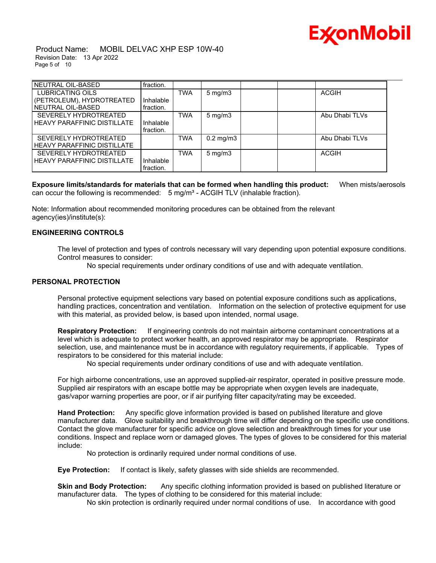

 Product Name: MOBIL DELVAC XHP ESP 10W-40 Revision Date: 13 Apr 2022 Page 5 of 10

| NEUTRAL OIL-BASED             | fraction. |            |                      |  |                |  |
|-------------------------------|-----------|------------|----------------------|--|----------------|--|
| LUBRICATING OILS              |           | <b>TWA</b> | $5 \text{ mg/m}$     |  | <b>ACGIH</b>   |  |
| (PETROLEUM), HYDROTREATED     | Inhalable |            |                      |  |                |  |
| l NEUTRAL OIL-BASED           | fraction. |            |                      |  |                |  |
| SEVERELY HYDROTREATED         |           | <b>TWA</b> | $5 \text{ mg/m}$     |  | Abu Dhabi TLVs |  |
| HEAVY PARAFFINIC DISTILLATE   | Inhalable |            |                      |  |                |  |
|                               | fraction. |            |                      |  |                |  |
| SEVERELY HYDROTREATED         |           | <b>TWA</b> | $0.2 \text{ mg/m}$ 3 |  | Abu Dhabi TLVs |  |
| HEAVY PARAFFINIC DISTILLATE   |           |            |                      |  |                |  |
| SEVERELY HYDROTREATED         |           | <b>TWA</b> | $5 \text{ mg/m}$     |  | <b>ACGIH</b>   |  |
| I HEAVY PARAFFINIC DISTILLATE | Inhalable |            |                      |  |                |  |
|                               | fraction. |            |                      |  |                |  |

**Exposure limits/standards for materials that can be formed when handling this product:** When mists/aerosols can occur the following is recommended:  $5 \text{ mg/m}^3$  - ACGIH TLV (inhalable fraction).

Note: Information about recommended monitoring procedures can be obtained from the relevant agency(ies)/institute(s):

#### **ENGINEERING CONTROLS**

The level of protection and types of controls necessary will vary depending upon potential exposure conditions. Control measures to consider:

No special requirements under ordinary conditions of use and with adequate ventilation.

#### **PERSONAL PROTECTION**

Personal protective equipment selections vary based on potential exposure conditions such as applications, handling practices, concentration and ventilation. Information on the selection of protective equipment for use with this material, as provided below, is based upon intended, normal usage.

**Respiratory Protection:** If engineering controls do not maintain airborne contaminant concentrations at a level which is adequate to protect worker health, an approved respirator may be appropriate. Respirator selection, use, and maintenance must be in accordance with regulatory requirements, if applicable. Types of respirators to be considered for this material include:

No special requirements under ordinary conditions of use and with adequate ventilation.

For high airborne concentrations, use an approved supplied-air respirator, operated in positive pressure mode. Supplied air respirators with an escape bottle may be appropriate when oxygen levels are inadequate, gas/vapor warning properties are poor, or if air purifying filter capacity/rating may be exceeded.

**Hand Protection:** Any specific glove information provided is based on published literature and glove manufacturer data. Glove suitability and breakthrough time will differ depending on the specific use conditions. Contact the glove manufacturer for specific advice on glove selection and breakthrough times for your use conditions. Inspect and replace worn or damaged gloves. The types of gloves to be considered for this material include:

No protection is ordinarily required under normal conditions of use.

**Eye Protection:** If contact is likely, safety glasses with side shields are recommended.

**Skin and Body Protection:** Any specific clothing information provided is based on published literature or manufacturer data. The types of clothing to be considered for this material include:

No skin protection is ordinarily required under normal conditions of use. In accordance with good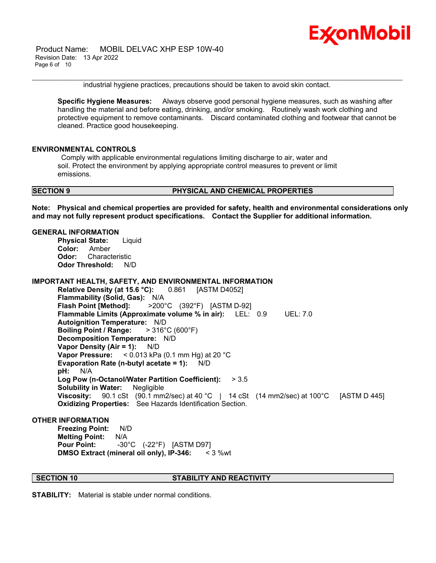

 Product Name: MOBIL DELVAC XHP ESP 10W-40 Revision Date: 13 Apr 2022 Page 6 of 10

industrial hygiene practices, precautions should be taken to avoid skin contact.

\_\_\_\_\_\_\_\_\_\_\_\_\_\_\_\_\_\_\_\_\_\_\_\_\_\_\_\_\_\_\_\_\_\_\_\_\_\_\_\_\_\_\_\_\_\_\_\_\_\_\_\_\_\_\_\_\_\_\_\_\_\_\_\_\_\_\_\_\_\_\_\_\_\_\_\_\_\_\_\_\_\_\_\_\_\_\_\_\_\_\_\_\_\_\_\_\_\_\_\_\_\_\_\_\_\_\_\_\_\_\_\_\_\_\_\_\_

**Specific Hygiene Measures:** Always observe good personal hygiene measures, such as washing after handling the material and before eating, drinking, and/or smoking. Routinely wash work clothing and protective equipment to remove contaminants. Discard contaminated clothing and footwear that cannot be cleaned. Practice good housekeeping.

#### **ENVIRONMENTAL CONTROLS**

Comply with applicable environmental regulations limiting discharge to air, water and soil. Protect the environment by applying appropriate control measures to prevent or limit emissions.

#### **SECTION 9 PHYSICAL AND CHEMICAL PROPERTIES**

**Note: Physical and chemical properties are provided for safety, health and environmental considerations only and may not fully represent product specifications. Contact the Supplier for additional information.**

#### **GENERAL INFORMATION**

**Physical State:** Liquid **Color:** Amber **Odor:** Characteristic **Odor Threshold:** N/D

#### **IMPORTANT HEALTH, SAFETY, AND ENVIRONMENTAL INFORMATION**

**Relative Density (at 15.6 °C):** 0.861 [ASTM D4052] **Flammability (Solid, Gas):** N/A **Flash Point [Method]:** >200°C (392°F) [ASTM D-92] **Flammable Limits (Approximate volume % in air):** LEL: 0.9 UEL: 7.0 **Autoignition Temperature:** N/D **Boiling Point / Range:** > 316°C (600°F) **Decomposition Temperature:** N/D **Vapor Density (Air = 1):** N/D **Vapor Pressure:** < 0.013 kPa (0.1 mm Hg) at 20 °C **Evaporation Rate (n-butyl acetate = 1):** N/D **pH:** N/A **Log Pow (n-Octanol/Water Partition Coefficient):** > 3.5 **Solubility in Water:** Negligible **Viscosity:** 90.1 cSt (90.1 mm2/sec) at 40 °C | 14 cSt (14 mm2/sec) at 100°C [ASTM D 445] **Oxidizing Properties:** See Hazards Identification Section.

#### **OTHER INFORMATION**

**Freezing Point:** N/D **Melting Point:** N/A **Pour Point:** -30°C (-22°F) [ASTM D97] **DMSO Extract (mineral oil only), IP-346:** < 3 %wt

#### **SECTION 10 STABILITY AND REACTIVITY**

**STABILITY:** Material is stable under normal conditions.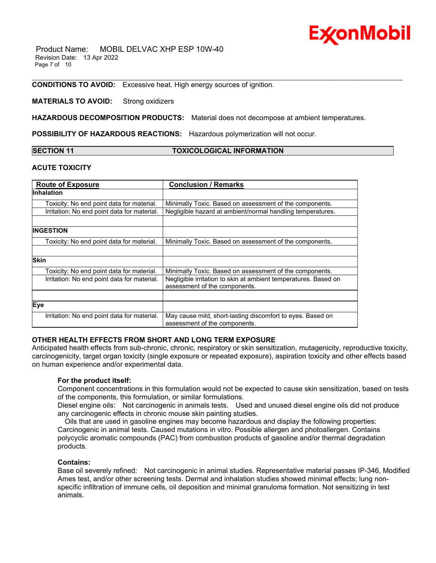

**CONDITIONS TO AVOID:** Excessive heat. High energy sources of ignition.

#### **MATERIALS TO AVOID:** Strong oxidizers

**HAZARDOUS DECOMPOSITION PRODUCTS:** Material does not decompose at ambient temperatures.

**POSSIBILITY OF HAZARDOUS REACTIONS:** Hazardous polymerization will not occur.

| <b>SECTION 11</b> |  |
|-------------------|--|
|-------------------|--|

**SECTION 11 TOXICOLOGICAL INFORMATION**

\_\_\_\_\_\_\_\_\_\_\_\_\_\_\_\_\_\_\_\_\_\_\_\_\_\_\_\_\_\_\_\_\_\_\_\_\_\_\_\_\_\_\_\_\_\_\_\_\_\_\_\_\_\_\_\_\_\_\_\_\_\_\_\_\_\_\_\_\_\_\_\_\_\_\_\_\_\_\_\_\_\_\_\_\_\_\_\_\_\_\_\_\_\_\_\_\_\_\_\_\_\_\_\_\_\_\_\_\_\_\_\_\_\_\_\_\_

### **ACUTE TOXICITY**

| <b>Route of Exposure</b>                    | <b>Conclusion / Remarks</b>                                                                      |  |
|---------------------------------------------|--------------------------------------------------------------------------------------------------|--|
| <b>Inhalation</b>                           |                                                                                                  |  |
| Toxicity: No end point data for material.   | Minimally Toxic. Based on assessment of the components.                                          |  |
| Irritation: No end point data for material. | Negligible hazard at ambient/normal handling temperatures.                                       |  |
|                                             |                                                                                                  |  |
| <b>INGESTION</b>                            |                                                                                                  |  |
| Toxicity: No end point data for material.   | Minimally Toxic. Based on assessment of the components.                                          |  |
|                                             |                                                                                                  |  |
| <b>Skin</b>                                 |                                                                                                  |  |
| Toxicity: No end point data for material.   | Minimally Toxic. Based on assessment of the components.                                          |  |
| Irritation: No end point data for material. | Negligible irritation to skin at ambient temperatures. Based on<br>assessment of the components. |  |
|                                             |                                                                                                  |  |
| Eye                                         |                                                                                                  |  |
| Irritation: No end point data for material. | May cause mild, short-lasting discomfort to eyes. Based on<br>assessment of the components.      |  |

### **OTHER HEALTH EFFECTS FROM SHORT AND LONG TERM EXPOSURE**

Anticipated health effects from sub-chronic, chronic, respiratory or skin sensitization, mutagenicity, reproductive toxicity, carcinogenicity, target organ toxicity (single exposure or repeated exposure), aspiration toxicity and other effects based on human experience and/or experimental data.

#### **For the product itself:**

Component concentrations in this formulation would not be expected to cause skin sensitization, based on tests of the components, this formulation, or similar formulations.

Diesel engine oils: Not carcinogenic in animals tests. Used and unused diesel engine oils did not produce any carcinogenic effects in chronic mouse skin painting studies.

 Oils that are used in gasoline engines may become hazardous and display the following properties: Carcinogenic in animal tests. Caused mutations in vitro. Possible allergen and photoallergen. Contains polycyclic aromatic compounds (PAC) from combustion products of gasoline and/or thermal degradation products.

#### **Contains:**

Base oil severely refined: Not carcinogenic in animal studies. Representative material passes IP-346, Modified Ames test, and/or other screening tests. Dermal and inhalation studies showed minimal effects; lung nonspecific infiltration of immune cells, oil deposition and minimal granuloma formation. Not sensitizing in test animals.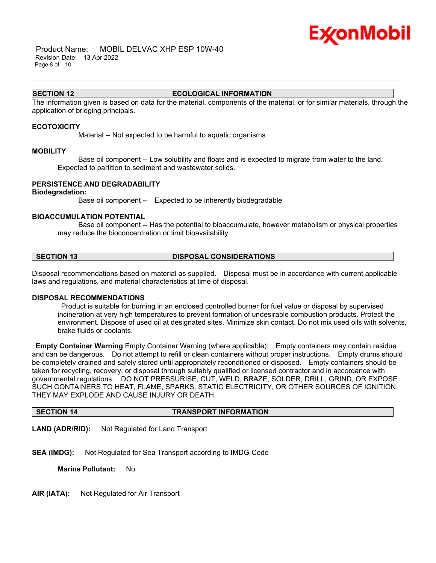# Ex⁄onMobil

### **SECTION 12 ECOLOGICAL INFORMATION**

\_\_\_\_\_\_\_\_\_\_\_\_\_\_\_\_\_\_\_\_\_\_\_\_\_\_\_\_\_\_\_\_\_\_\_\_\_\_\_\_\_\_\_\_\_\_\_\_\_\_\_\_\_\_\_\_\_\_\_\_\_\_\_\_\_\_\_\_\_\_\_\_\_\_\_\_\_\_\_\_\_\_\_\_\_\_\_\_\_\_\_\_\_\_\_\_\_\_\_\_\_\_\_\_\_\_\_\_\_\_\_\_\_\_\_\_\_

The information given is based on data for the material, components of the material, or for similar materials, through the application of bridging principals.

#### **ECOTOXICITY**

Material -- Not expected to be harmful to aquatic organisms.

#### **MOBILITY**

 Base oil component -- Low solubility and floats and is expected to migrate from water to the land. Expected to partition to sediment and wastewater solids.

#### **PERSISTENCE AND DEGRADABILITY**

#### **Biodegradation:**

Base oil component -- Expected to be inherently biodegradable

#### **BIOACCUMULATION POTENTIAL**

 Base oil component -- Has the potential to bioaccumulate, however metabolism or physical properties may reduce the bioconcentration or limit bioavailability.

### **SECTION 13 DISPOSAL CONSIDERATIONS**

Disposal recommendations based on material as supplied. Disposal must be in accordance with current applicable laws and regulations, and material characteristics at time of disposal.

#### **DISPOSAL RECOMMENDATIONS**

Product is suitable for burning in an enclosed controlled burner for fuel value or disposal by supervised incineration at very high temperatures to prevent formation of undesirable combustion products. Protect the environment. Dispose of used oil at designated sites. Minimize skin contact. Do not mix used oils with solvents, brake fluids or coolants.

**Empty Container Warning** Empty Container Warning (where applicable): Empty containers may contain residue and can be dangerous. Do not attempt to refill or clean containers without proper instructions. Empty drums should be completely drained and safely stored until appropriately reconditioned or disposed. Empty containers should be taken for recycling, recovery, or disposal through suitably qualified or licensed contractor and in accordance with governmental regulations. DO NOT PRESSURISE, CUT, WELD, BRAZE, SOLDER, DRILL, GRIND, OR EXPOSE SUCH CONTAINERS TO HEAT, FLAME, SPARKS, STATIC ELECTRICITY, OR OTHER SOURCES OF IGNITION. THEY MAY EXPLODE AND CAUSE INJURY OR DEATH.

### **SECTION 14 TRANSPORT INFORMATION**

**LAND (ADR/RID):** Not Regulated for Land Transport

**SEA (IMDG):** Not Regulated for Sea Transport according to IMDG-Code

**Marine Pollutant:** No

**AIR (IATA):** Not Regulated for Air Transport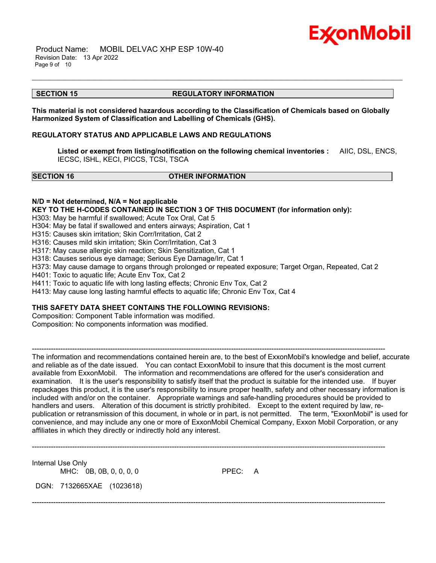

 Product Name: MOBIL DELVAC XHP ESP 10W-40 Revision Date: 13 Apr 2022 Page 9 of 10

#### **SECTION 15 REGULATORY INFORMATION**

\_\_\_\_\_\_\_\_\_\_\_\_\_\_\_\_\_\_\_\_\_\_\_\_\_\_\_\_\_\_\_\_\_\_\_\_\_\_\_\_\_\_\_\_\_\_\_\_\_\_\_\_\_\_\_\_\_\_\_\_\_\_\_\_\_\_\_\_\_\_\_\_\_\_\_\_\_\_\_\_\_\_\_\_\_\_\_\_\_\_\_\_\_\_\_\_\_\_\_\_\_\_\_\_\_\_\_\_\_\_\_\_\_\_\_\_\_

**This material is not considered hazardous according to the Classification of Chemicals based on Globally Harmonized System of Classification and Labelling of Chemicals (GHS).**

#### **REGULATORY STATUS AND APPLICABLE LAWS AND REGULATIONS**

**Listed or exempt from listing/notification on the following chemical inventories :** AIIC, DSL, ENCS, IECSC, ISHL, KECI, PICCS, TCSI, TSCA

#### **SECTION 16 OTHER INFORMATION**

**N/D = Not determined, N/A = Not applicable**

**KEY TO THE H-CODES CONTAINED IN SECTION 3 OF THIS DOCUMENT (for information only):**

H303: May be harmful if swallowed; Acute Tox Oral, Cat 5

H304: May be fatal if swallowed and enters airways; Aspiration, Cat 1

H315: Causes skin irritation; Skin Corr/Irritation, Cat 2

H316: Causes mild skin irritation; Skin Corr/Irritation, Cat 3

H317: May cause allergic skin reaction; Skin Sensitization, Cat 1

H318: Causes serious eye damage; Serious Eye Damage/Irr, Cat 1

H373: May cause damage to organs through prolonged or repeated exposure; Target Organ, Repeated, Cat 2

-----------------------------------------------------------------------------------------------------------------------------------------------------

H401: Toxic to aquatic life; Acute Env Tox, Cat 2

H411: Toxic to aquatic life with long lasting effects; Chronic Env Tox, Cat 2

H413: May cause long lasting harmful effects to aquatic life; Chronic Env Tox, Cat 4

#### **THIS SAFETY DATA SHEET CONTAINS THE FOLLOWING REVISIONS:**

Composition: Component Table information was modified.

Composition: No components information was modified.

The information and recommendations contained herein are, to the best of ExxonMobil's knowledge and belief, accurate and reliable as of the date issued. You can contact ExxonMobil to insure that this document is the most current available from ExxonMobil. The information and recommendations are offered for the user's consideration and examination. It is the user's responsibility to satisfy itself that the product is suitable for the intended use. If buyer repackages this product, it is the user's responsibility to insure proper health, safety and other necessary information is included with and/or on the container. Appropriate warnings and safe-handling procedures should be provided to handlers and users. Alteration of this document is strictly prohibited. Except to the extent required by law, republication or retransmission of this document, in whole or in part, is not permitted. The term, "ExxonMobil" is used for convenience, and may include any one or more of ExxonMobil Chemical Company, Exxon Mobil Corporation, or any affiliates in which they directly or indirectly hold any interest.

Internal Use Only MHC: 0B, 0B, 0, 0, 0, 0 PPEC: A

DGN: 7132665XAE (1023618)

-----------------------------------------------------------------------------------------------------------------------------------------------------

-----------------------------------------------------------------------------------------------------------------------------------------------------